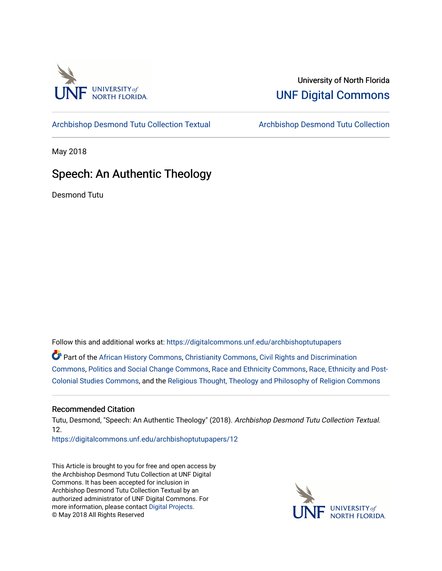

## University of North Florida [UNF Digital Commons](https://digitalcommons.unf.edu/)

[Archbishop Desmond Tutu Collection Textual](https://digitalcommons.unf.edu/archbishoptutupapers) [Archbishop Desmond Tutu Collection](https://digitalcommons.unf.edu/archbishoptutu) 

May 2018

## Speech: An Authentic Theology

Desmond Tutu

Follow this and additional works at: [https://digitalcommons.unf.edu/archbishoptutupapers](https://digitalcommons.unf.edu/archbishoptutupapers?utm_source=digitalcommons.unf.edu%2Farchbishoptutupapers%2F12&utm_medium=PDF&utm_campaign=PDFCoverPages)

Part of the [African History Commons](http://network.bepress.com/hgg/discipline/490?utm_source=digitalcommons.unf.edu%2Farchbishoptutupapers%2F12&utm_medium=PDF&utm_campaign=PDFCoverPages), [Christianity Commons](http://network.bepress.com/hgg/discipline/1181?utm_source=digitalcommons.unf.edu%2Farchbishoptutupapers%2F12&utm_medium=PDF&utm_campaign=PDFCoverPages), [Civil Rights and Discrimination](http://network.bepress.com/hgg/discipline/585?utm_source=digitalcommons.unf.edu%2Farchbishoptutupapers%2F12&utm_medium=PDF&utm_campaign=PDFCoverPages)  [Commons](http://network.bepress.com/hgg/discipline/585?utm_source=digitalcommons.unf.edu%2Farchbishoptutupapers%2F12&utm_medium=PDF&utm_campaign=PDFCoverPages), [Politics and Social Change Commons](http://network.bepress.com/hgg/discipline/425?utm_source=digitalcommons.unf.edu%2Farchbishoptutupapers%2F12&utm_medium=PDF&utm_campaign=PDFCoverPages), [Race and Ethnicity Commons,](http://network.bepress.com/hgg/discipline/426?utm_source=digitalcommons.unf.edu%2Farchbishoptutupapers%2F12&utm_medium=PDF&utm_campaign=PDFCoverPages) [Race, Ethnicity and Post-](http://network.bepress.com/hgg/discipline/566?utm_source=digitalcommons.unf.edu%2Farchbishoptutupapers%2F12&utm_medium=PDF&utm_campaign=PDFCoverPages)[Colonial Studies Commons](http://network.bepress.com/hgg/discipline/566?utm_source=digitalcommons.unf.edu%2Farchbishoptutupapers%2F12&utm_medium=PDF&utm_campaign=PDFCoverPages), and the [Religious Thought, Theology and Philosophy of Religion Commons](http://network.bepress.com/hgg/discipline/544?utm_source=digitalcommons.unf.edu%2Farchbishoptutupapers%2F12&utm_medium=PDF&utm_campaign=PDFCoverPages) 

## Recommended Citation

Tutu, Desmond, "Speech: An Authentic Theology" (2018). Archbishop Desmond Tutu Collection Textual. 12.

[https://digitalcommons.unf.edu/archbishoptutupapers/12](https://digitalcommons.unf.edu/archbishoptutupapers/12?utm_source=digitalcommons.unf.edu%2Farchbishoptutupapers%2F12&utm_medium=PDF&utm_campaign=PDFCoverPages) 

This Article is brought to you for free and open access by the Archbishop Desmond Tutu Collection at UNF Digital Commons. It has been accepted for inclusion in Archbishop Desmond Tutu Collection Textual by an authorized administrator of UNF Digital Commons. For more information, please contact [Digital Projects](mailto:lib-digital@unf.edu). © May 2018 All Rights Reserved

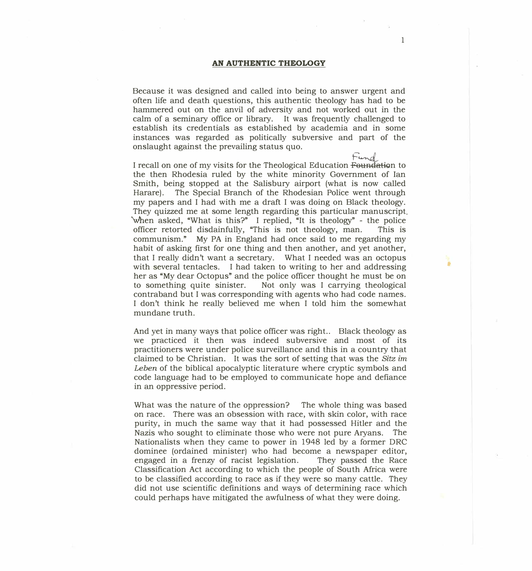1

 $\bullet$ 

Because it was designed and called into being to answer urgent and often life and death questions, this authentic theology has had to be hammered out on the anvil of adversity and not worked out in the calm of a seminary office or library. It was frequently challenged to establish its credentials as established by academia and in some instances was regarded as politically subversive and part of the onslaught against the prevailing status quo.

*F�*  I recall on one of my visits for the Theological Education Founda:tiQn to the then Rhodesia ruled by the white minority Government of Ian Smith, being stopped at the Salisbury airport (what is now called Harare). The Special Branch of the Rhodesian Police went through my papers and I had with me a draft I was doing on Black theology. They quizzed me at some length regarding this particular manuscript. when asked, "What is this?" I replied, "It is theology" - the police officer retorted disdainfully, "This is not theology, man. This is communism." My PA in England had once said to me regarding my habit of asking first for one thing and then another, and yet another, that I really didn't want a secretary. What I needed was an octopus with several tentacles. I had taken to writing to her and addressing her as "My dear Octopus" and the police officer thought he must be on to something quite sinister. Not only was I carrying theological contraband but I was corresponding with agents who had code names. I don't think he really believed me when I told him the somewhat mundane truth.

And yet in many ways that police officer was right.. Black theology as we practiced it then was indeed subversive and most of its practitioners were under police surveillance and this in a country that claimed to be Christian. It was the sort of setting that was the *Sitz im Leben* of the biblical apocalyptic literature where cryptic symbols and code language had to be employed to communicate hope and defiance in an oppressive period.

What was the nature of the oppression? The whole thing was based on race. There was an obsession with race, with skin color, with race purity, in much the same way that it had possessed Hitler and the Nazis who sought to eliminate those who were not pure Aryans. The Nationalists when they came to power in 1948 led by a former DRC dominee (ordained minister) who had become a newspaper editor, engaged in a frenzy of racist legislation. They passed the Race Classification Act according to which the people of South Africa were to be classified according to race as if they were so many cattle. They did not use scientific definitions and ways of determining race which could perhaps have mitigated the awfulness of what they were doing.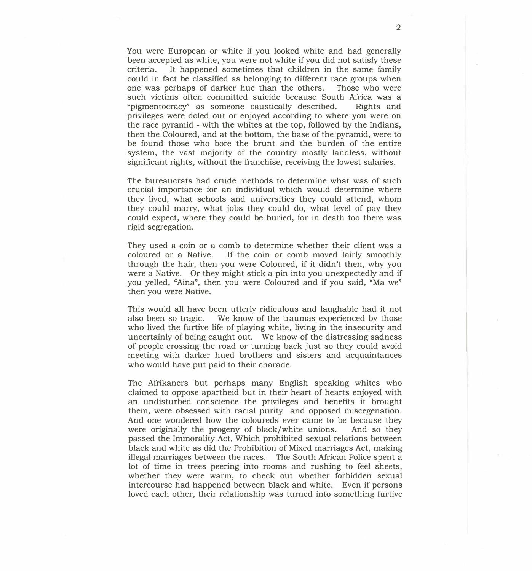You were European or white if you looked white and had generally been accepted as white, you were not white if you did not satisfy these criteria. It happened sometimes that children in the same family could in fact be classified as belonging to different race groups when<br>one was perhaps of darker hue than the others. Those who were one was perhaps of darker hue than the others. such victims often committed suicide because South Africa was a "pigmentocracy" as someone caustically described. Rights and privileges were doled out or enjoyed according to where you were on the race pyramid - with the whites at the top, followed by the Indians, then the Coloured, and at the bottom, the base of the pyramid, were to be found those who bore the brunt and the burden of the entire system, the vast majority of the country mostly landless, without significant rights, without the franchise, receiving the lowest salaries.

The bureaucrats had crude methods to determine what was of such crucial importance for an individual which would determine where they lived, what schools and universities they could attend, whom they could marry, what jobs they could do, what level of pay they could expect, where they could be buried, for in death too there was rigid segregation.

They used a coin or a comb to determine whether their client was a coloured or a Native. If the coin or comb moved fairly smoothly through the hair, then you were Coloured, if it didn't then, why you were a Native. Or they might stick a pin into you unexpectedly and if you yelled, "Aina", then you were Coloured and if you said, "Ma we" then you were Native.

This would all have been utterly ridiculous and laughable had it not also been so tragic. We know of the traumas experienced by those who lived the furtive life of playing white, living in the insecurity and uncertainly of being caught out. We know of the distressing sadness of people crossing the road or turning back just so they could avoid meeting with darker hued brothers and sisters and acquaintances who would have put paid to their charade.

The Afrikaners but perhaps many English speaking whites who claimed to oppose apartheid but in their heart of hearts enjoyed with an undisturbed conscience the privileges and benefits it brought them, were obsessed with racial purity and opposed miscegenation. And one wondered how the coloureds ever came to be because they were originally the progeny of black/white unions. And so they passed the Immorality Act. Which prohibited sexual relations between black and white as did the Prohibition of Mixed marriages Act, making illegal marriages between the races. The South African Police spent a lot of time in trees peering into rooms and rushing to feel sheets, whether they were warm, to check out whether forbidden sexual intercourse had happened between black and white. Even if persons loved each other, their relationship was turned into something furtive